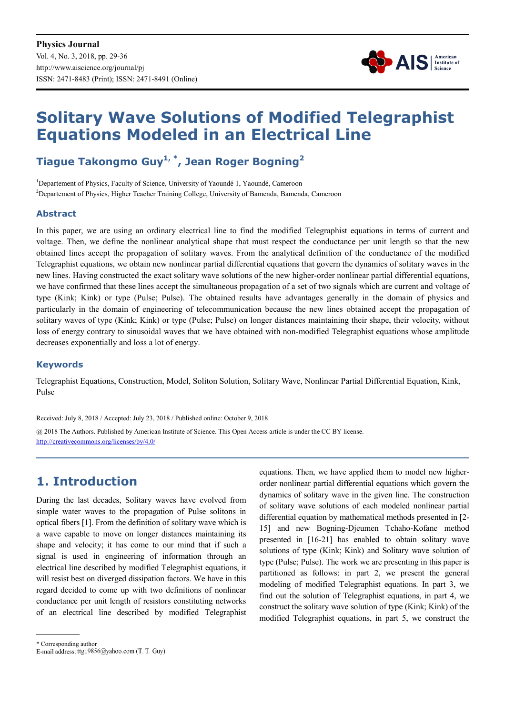

# **Solitary Wave Solutions of Modified Telegraphist Equations Modeled in an Electrical Line**

#### **Tiague Takongmo Guy1, \*, Jean Roger Bogning<sup>2</sup>**

<sup>1</sup>Departement of Physics, Faculty of Science, University of Yaoundé 1, Yaoundé, Cameroon <sup>2</sup>Departement of Physics, Higher Teacher Training College, University of Bamenda, Bamenda, Cameroon

#### **Abstract**

In this paper, we are using an ordinary electrical line to find the modified Telegraphist equations in terms of current and voltage. Then, we define the nonlinear analytical shape that must respect the conductance per unit length so that the new obtained lines accept the propagation of solitary waves. From the analytical definition of the conductance of the modified Telegraphist equations, we obtain new nonlinear partial differential equations that govern the dynamics of solitary waves in the new lines. Having constructed the exact solitary wave solutions of the new higher-order nonlinear partial differential equations, we have confirmed that these lines accept the simultaneous propagation of a set of two signals which are current and voltage of type (Kink; Kink) or type (Pulse; Pulse). The obtained results have advantages generally in the domain of physics and particularly in the domain of engineering of telecommunication because the new lines obtained accept the propagation of solitary waves of type (Kink; Kink) or type (Pulse; Pulse) on longer distances maintaining their shape, their velocity, without loss of energy contrary to sinusoidal waves that we have obtained with non-modified Telegraphist equations whose amplitude decreases exponentially and loss a lot of energy.

#### **Keywords**

Telegraphist Equations, Construction, Model, Soliton Solution, Solitary Wave, Nonlinear Partial Differential Equation, Kink, Pulse

Received: July 8, 2018 / Accepted: July 23, 2018 / Published online: October 9, 2018

@ 2018 The Authors. Published by American Institute of Science. This Open Access article is under the CC BY license. http://creativecommons.org/licenses/by/4.0/

### **1. Introduction**

During the last decades, Solitary waves have evolved from simple water waves to the propagation of Pulse solitons in optical fibers [1]. From the definition of solitary wave which is a wave capable to move on longer distances maintaining its shape and velocity; it has come to our mind that if such a signal is used in engineering of information through an electrical line described by modified Telegraphist equations, it will resist best on diverged dissipation factors. We have in this regard decided to come up with two definitions of nonlinear conductance per unit length of resistors constituting networks of an electrical line described by modified Telegraphist equations. Then, we have applied them to model new higherorder nonlinear partial differential equations which govern the dynamics of solitary wave in the given line. The construction of solitary wave solutions of each modeled nonlinear partial differential equation by mathematical methods presented in [2- 15] and new Bogning-Djeumen Tchaho-Kofane method presented in [16-21] has enabled to obtain solitary wave solutions of type (Kink; Kink) and Solitary wave solution of type (Pulse; Pulse). The work we are presenting in this paper is partitioned as follows: in part 2, we present the general modeling of modified Telegraphist equations. In part 3, we find out the solution of Telegraphist equations, in part 4, we construct the solitary wave solution of type (Kink; Kink) of the modified Telegraphist equations, in part 5, we construct the

\* Corresponding author

E-mail address: ttg19856@yahoo.com (T. T. Guy)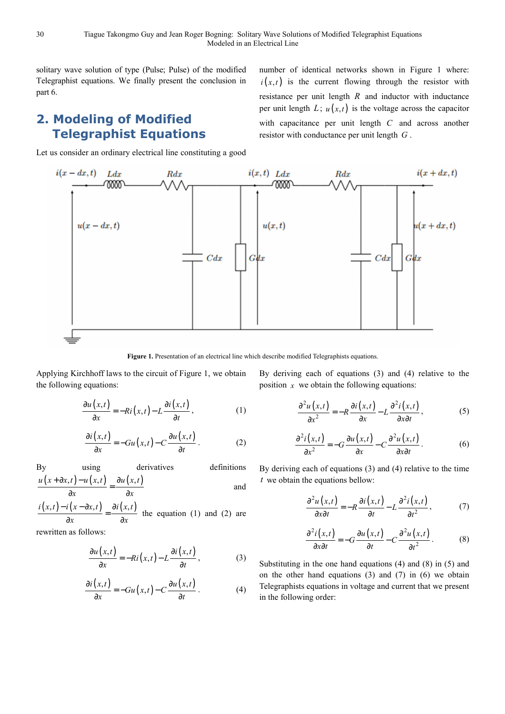solitary wave solution of type (Pulse; Pulse) of the modified Telegraphist equations. We finally present the conclusion in part 6.

### **2. Modeling of Modified Telegraphist Equations**

Let us consider an ordinary electrical line constituting a good

number of identical networks shown in Figure 1 where:  $i(x,t)$  is the current flowing through the resistor with resistance per unit length *R* and inductor with inductance per unit length  $L$ ;  $u(x,t)$  is the voltage across the capacitor with capacitance per unit length *C* and across another resistor with conductance per unit length *G* .



Figure 1. Presentation of an electrical line which describe modified Telegraphists equations.

Applying Kirchhoff laws to the circuit of Figure 1, we obtain the following equations:

$$
\frac{\partial u(x,t)}{\partial x} = -Ri(x,t) - L\frac{\partial i(x,t)}{\partial t},
$$
\n(1)

$$
\frac{\partial i(x,t)}{\partial x} = -Gu(x,t) - C \frac{\partial u(x,t)}{\partial t}.
$$
 (2)

By using derivatives definition  
\n
$$
\frac{u(x+\partial x,t)-u(x,t)}{\partial x} = \frac{\partial u(x,t)}{\partial x}
$$
\nderivatives

$$
\frac{i(x,t) - i(x - \partial x, t)}{\partial x} = \frac{\partial i(x,t)}{\partial x}
$$
 the equation (1) and (2) are

rewritten as follows:

$$
\frac{\partial u(x,t)}{\partial x} = -Ri(x,t) - L\frac{\partial i(x,t)}{\partial t},
$$
 (3)

$$
\frac{\partial i(x,t)}{\partial x} = -Gu(x,t) - C \frac{\partial u(x,t)}{\partial t}.
$$
 (4)

By deriving each of equations (3) and (4) relative to the position  $x$  we obtain the following equations:

$$
\frac{\partial^2 u(x,t)}{\partial x^2} = -R \frac{\partial i(x,t)}{\partial x} - L \frac{\partial^2 i(x,t)}{\partial x \partial t},
$$
 (5)

$$
\frac{\partial^2 i(x,t)}{\partial x^2} = -G \frac{\partial u(x,t)}{\partial x} - C \frac{\partial^2 u(x,t)}{\partial x \partial t}.
$$
 (6)

By deriving each of equations (3) and (4) relative to the time *t* we obtain the equations bellow:

$$
\frac{\partial^2 u(x,t)}{\partial x \partial t} = -R \frac{\partial i(x,t)}{\partial t} - L \frac{\partial^2 i(x,t)}{\partial t^2},\tag{7}
$$

$$
\frac{\partial^2 i(x,t)}{\partial x \partial t} = -G \frac{\partial u(x,t)}{\partial t} - C \frac{\partial^2 u(x,t)}{\partial t^2}.
$$
 (8)

Substituting in the one hand equations (4) and (8) in (5) and on the other hand equations (3) and (7) in (6) we obtain Telegraphists equations in voltage and current that we present in the following order: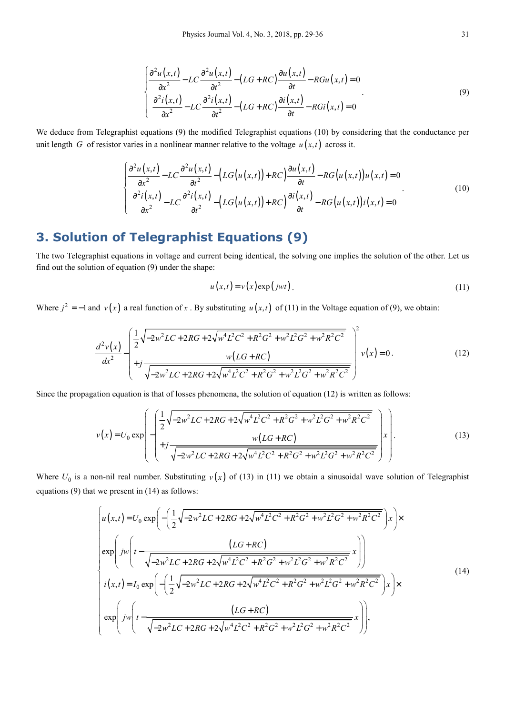$$
\begin{cases}\n\frac{\partial^2 u(x,t)}{\partial x^2} - LC \frac{\partial^2 u(x,t)}{\partial t^2} - (LG + RC) \frac{\partial u(x,t)}{\partial t} - RGu(x,t) = 0 \\
\frac{\partial^2 i(x,t)}{\partial x^2} - LC \frac{\partial^2 i(x,t)}{\partial t^2} - (LG + RC) \frac{\partial i(x,t)}{\partial t} - RGi(x,t) = 0\n\end{cases}
$$
\n(9)

We deduce from Telegraphist equations (9) the modified Telegraphist equations (10) by considering that the conductance per unit length *G* of resistor varies in a nonlinear manner relative to the voltage  $u(x,t)$  across it.

$$
\begin{cases}\n\frac{\partial^2 u(x,t)}{\partial x^2} - LC \frac{\partial^2 u(x,t)}{\partial t^2} - \left( LG(u(x,t)) + RC \right) \frac{\partial u(x,t)}{\partial t} - RG(u(x,t))u(x,t) = 0 \\
\frac{\partial^2 i(x,t)}{\partial x^2} - LC \frac{\partial^2 i(x,t)}{\partial t^2} - \left( LG(u(x,t)) + RC \right) \frac{\partial i(x,t)}{\partial t} - RG(u(x,t))i(x,t) = 0\n\end{cases}
$$
\n(10)

# **3. Solution of Telegraphist Equations (9)**

The two Telegraphist equations in voltage and current being identical, the solving one implies the solution of the other. Let us find out the solution of equation (9) under the shape:

$$
u(x,t) = v(x) \exp(jwt).
$$
 (11)

Where  $j^2 = -1$  and  $v(x)$  a real function of x. By substituting  $u(x,t)$  of (11) in the Voltage equation of (9), we obtain:

$$
\frac{d^2v(x)}{dx^2} - \left(\frac{1}{2}\sqrt{-2w^2LC + 2RG + 2\sqrt{w^4L^2C^2 + R^2G^2 + w^2L^2G^2 + w^2R^2C^2}}{v(LG + RC)}\right)^2 v(x) = 0.
$$
\n(12)

Since the propagation equation is that of losses phenomena, the solution of equation (12) is written as follows:

$$
v(x) = U_0 \exp\left(-\left(\frac{1}{2}\sqrt{-2w^2LC + 2RG + 2\sqrt{w^4L^2C^2 + R^2G^2 + w^2L^2G^2 + w^2R^2C^2}}{v(LG + RC)}\right)x\right).
$$
\n(13)

Where  $U_0$  is a non-nil real number. Substituting  $v(x)$  of (13) in (11) we obtain a sinusoidal wave solution of Telegraphist equations (9) that we present in (14) as follows:

$$
\begin{bmatrix}\nu(x,t) = U_0 \exp\left(-\left(\frac{1}{2}\sqrt{-2w^2LC + 2RG + 2\sqrt{w^4L^2C^2 + R^2G^2 + w^2L^2G^2 + w^2R^2C^2}}\right)x\right) \times \\
\exp\left(jw\left(t - \frac{(LG + RC)}{\sqrt{-2w^2LC + 2RG + 2\sqrt{w^4L^2C^2 + R^2G^2 + w^2L^2G^2 + w^2R^2C^2}}x\right)\right) \\
i(x,t) = I_0 \exp\left(-\left(\frac{1}{2}\sqrt{-2w^2LC + 2RG + 2\sqrt{w^4L^2C^2 + R^2G^2 + w^2L^2G^2 + w^2R^2C^2}}\right)x\right) \times \\
\exp\left(jw\left(t - \frac{(LG + RC)}{\sqrt{-2w^2LC + 2RG + 2\sqrt{w^4L^2C^2 + R^2G^2 + w^2L^2G^2 + w^2R^2C^2}}x\right)\right),\n\end{bmatrix}
$$
\n(14)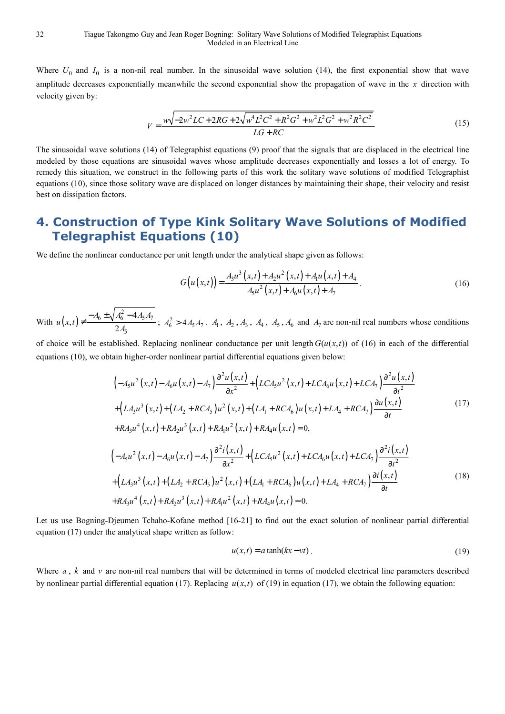Where  $U_0$  and  $I_0$  is a non-nil real number. In the sinusoidal wave solution (14), the first exponential show that wave amplitude decreases exponentially meanwhile the second exponential show the propagation of wave in the *x* direction with velocity given by:

$$
V = \frac{w\sqrt{-2w^2LC + 2RG + 2\sqrt{w^4L^2C^2 + R^2G^2 + w^2L^2G^2 + w^2R^2C^2}}}{LG + RC}
$$
(15)

The sinusoidal wave solutions (14) of Telegraphist equations (9) proof that the signals that are displaced in the electrical line modeled by those equations are sinusoidal waves whose amplitude decreases exponentially and losses a lot of energy. To remedy this situation, we construct in the following parts of this work the solitary wave solutions of modified Telegraphist equations (10), since those solitary wave are displaced on longer distances by maintaining their shape, their velocity and resist best on dissipation factors.

# **4. Construction of Type Kink Solitary Wave Solutions of Modified Telegraphist Equations (10)**

We define the nonlinear conductance per unit length under the analytical shape given as follows:

$$
G(u(x,t)) = \frac{A_3 u^3(x,t) + A_2 u^2(x,t) + A_1 u(x,t) + A_4}{A_5 u^2(x,t) + A_6 u(x,t) + A_7}.
$$
\n(16)

With  $u(x,t)$  $\int_6 \pm \sqrt{A_6^2 - 4A_5A_7}$ 5  $(t) \neq \frac{-A_6 \pm \sqrt{A_6^2 - 4}}{24}$ 2  $u(x,t) \neq \frac{-A_6 \pm \sqrt{A_6^2 - 4A_5A_7}}{2A_6}$ *A*  $\neq \frac{-A_6 \pm \sqrt{A_6^2 - 4A_5A_7}}{2A}$ ;  $A_6^2 > 4A_5A_7$ .  $A_1$ ,  $A_2$ ,  $A_3$ ,  $A_4$ ,  $A_5$ ,  $A_6$  and  $A_7$  are non-nil real numbers whose conditions

of choice will be established. Replacing nonlinear conductance per unit length  $G(u(x,t))$  of (16) in each of the differential equations (10), we obtain higher-order nonlinear partial differential equations given below:

$$
\left(-A_5u^2(x,t) - A_6u(x,t) - A_7\right)\frac{\partial^2 u(x,t)}{\partial x^2} + \left(LCA_5u^2(x,t) + LCA_6u(x,t) + LCA_7\right)\frac{\partial^2 u(x,t)}{\partial t^2} \n+ \left(LA_3u^3(x,t) + (LA_2 + RCA_5)u^2(x,t) + (LA_1 + RCA_6)u(x,t) + LA_4 + RCA_7\right)\frac{\partial u(x,t)}{\partial t} \n+ RA_3u^4(x,t) + RA_2u^3(x,t) + RA_1u^2(x,t) + RA_4u(x,t) = 0,
$$
\n
$$
\left(-A_5u^2(x,t) - A_6u(x,t) - A_7\right)\frac{\partial^2 i(x,t)}{\partial x^2} + \left(LCA_5u^2(x,t) + LCA_6u(x,t) + LCA_7\right)\frac{\partial^2 i(x,t)}{\partial t^2} \n+ \left(LA_3u^3(x,t) + (LA_2 + RCA_5)u^2(x,t) + (LA_1 + RCA_6)u(x,t) + LA_4 + RCA_7\right)\frac{\partial i(x,t)}{\partial t} \n+ RA_3u^4(x,t) + RA_2u^3(x,t) + RA_4u^2(x,t) + RA_4u(x,t) = 0.
$$
\n(18)

Let us use Bogning-Djeumen Tchaho-Kofane method [16-21] to find out the exact solution of nonlinear partial differential equation (17) under the analytical shape written as follow:

$$
u(x,t) = a \tanh(kx - vt) \tag{19}
$$

Where  $a$ ,  $k$  and  $\nu$  are non-nil real numbers that will be determined in terms of modeled electrical line parameters described by nonlinear partial differential equation (17). Replacing  $u(x,t)$  of (19) in equation (17), we obtain the following equation: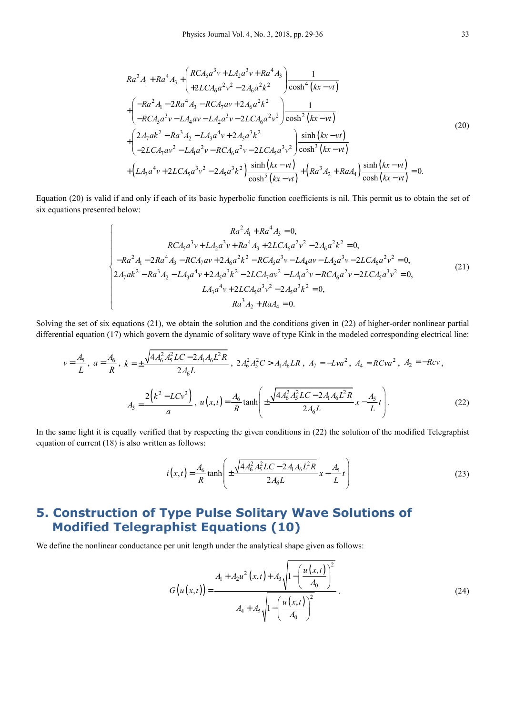$$
Ra^{2} A_{1} + Ra^{4} A_{3} + \left(\frac{RCA_{5}a^{3}v + LA_{2}a^{3}v + Ra^{4}A_{3}}{+2LCA_{6}a^{2}v^{2} - 2A_{6}a^{2}k^{2}}\right) \frac{1}{\cosh^{4}(kx - vt)}
$$
  
+ 
$$
\left(\frac{-Ra^{2} A_{1} - 2Ra^{4} A_{3} - RCA_{7}av + 2A_{6}a^{2}k^{2}}{-RCA_{5}a^{3}v - LA_{4}av - LA_{2}a^{3}v - 2LCA_{6}a^{2}v^{2}}\right) \frac{1}{\cosh^{2}(kx - vt)}
$$
  
+ 
$$
\left(\frac{2A_{7}ak^{2} - Ra^{3} A_{2} - LA_{3}a^{4}v + 2A_{5}a^{3}k^{2}}{-2LCA_{7}av^{2} - LA_{1}a^{2}v - RCA_{6}a^{2}v - 2LCA_{5}a^{3}v^{2}}\right) \frac{\sinh(kx - vt)}{\cosh^{3}(kx - vt)}
$$
  
+ 
$$
\left(LA_{3}a^{4}v + 2LCA_{5}a^{3}v^{2} - 2A_{5}a^{3}k^{2}\right) \frac{\sinh(kx - vt)}{\cosh^{5}(kx - vt)} + \left(Ra^{3}A_{2} + RaA_{4}\right) \frac{\sinh(kx - vt)}{\cosh(kx - vt)} = 0.
$$
 (20)

Equation (20) is valid if and only if each of its basic hyperbolic function coefficients is nil. This permit us to obtain the set of six equations presented below:

$$
Ra^{2}A_{1} + Ra^{4}A_{3} = 0,
$$
  
\n
$$
RCA_{5}a^{3}v + LA_{2}a^{3}v + Ra^{4}A_{3} + 2LCA_{6}a^{2}v^{2} - 2A_{6}a^{2}k^{2} = 0,
$$
  
\n
$$
-Ra^{2}A_{1} - 2Ra^{4}A_{3} - RCA_{7}av + 2A_{6}a^{2}k^{2} - RCA_{5}a^{3}v - LA_{4}av - LA_{2}a^{3}v - 2LCA_{6}a^{2}v^{2} = 0,
$$
  
\n
$$
2A_{7}ak^{2} - Ra^{3}A_{2} - LA_{3}a^{4}v + 2A_{5}a^{3}k^{2} - 2LCA_{7}av^{2} - LA_{1}a^{2}v - RCA_{6}a^{2}v - 2LCA_{5}a^{3}v^{2} = 0,
$$
  
\n
$$
LA_{3}a^{4}v + 2LCA_{5}a^{3}v^{2} - 2A_{5}a^{3}k^{2} = 0,
$$
  
\n
$$
Ra^{3}A_{2} + RA_{4} = 0.
$$
  
\n(21)

Solving the set of six equations (21), we obtain the solution and the conditions given in (22) of higher-order nonlinear partial differential equation (17) which govern the dynamic of solitary wave of type Kink in the modeled corresponding electrical line:

$$
v = \frac{A_5}{L}, \ a = \frac{A_6}{R}, \ k = \pm \frac{\sqrt{4A_6^2 A_5^2 LC - 2A_1 A_6 L^2 R}}{2A_6 L}, \ 2A_6^2 A_5^2 C > A_1 A_6 LR, \ A_7 = -Lva^2, \ A_4 = RCva^2, \ A_2 = -Rcv,
$$
\n
$$
A_3 = \frac{2\left(k^2 - LCv^2\right)}{a}, \ u\left(x, t\right) = \frac{A_6}{R} \tanh\left(\pm \frac{\sqrt{4A_6^2 A_5^2 LC - 2A_1 A_6 L^2 R}}{2A_6 L} x - \frac{A_5}{L} t\right). \tag{22}
$$

In the same light it is equally verified that by respecting the given conditions in (22) the solution of the modified Telegraphist equation of current (18) is also written as follows:

$$
i(x,t) = \frac{A_6}{R} \tanh\left(\pm \frac{\sqrt{4A_6^2 A_5^2 LC - 2A_1 A_6 L^2 R}}{2A_6 L} x - \frac{A_5}{L} t\right)
$$
 (23)

# **5. Construction of Type Pulse Solitary Wave Solutions of Modified Telegraphist Equations (10)**

We define the nonlinear conductance per unit length under the analytical shape given as follows:

$$
G(u(x,t)) = \frac{A_1 + A_2 u^2(x,t) + A_3 \sqrt{1 - \left(\frac{u(x,t)}{A_0}\right)^2}}{A_4 + A_5 \sqrt{1 - \left(\frac{u(x,t)}{A_0}\right)^2}}.
$$
\n(24)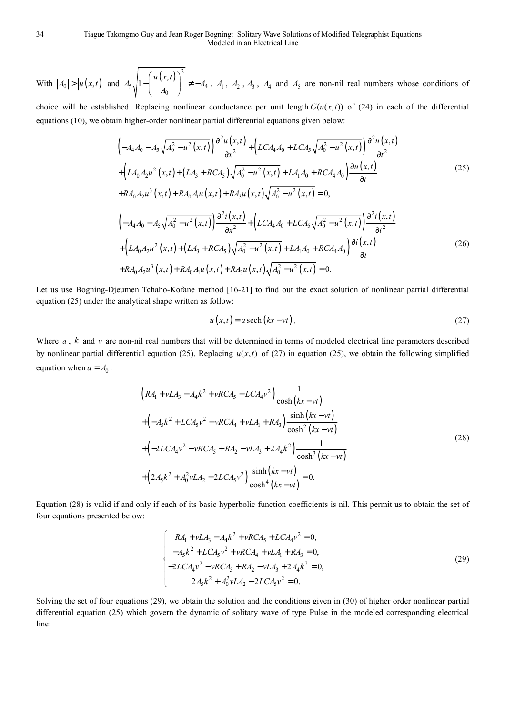With  $|A_0| > |u(x,t)|$  and  $(x,t)$ <sup>2</sup>  $5\sqrt{1-\left(\frac{A_0}{A_0}\right)}$   $+ -A_4$  $A_5\sqrt{1-\left(\frac{u(x,t)}{A_0}\right)^2}$   $\neq -A_4$  $\left(u(x,t)\right)^{2}$  $\frac{m(n,1)}{n}$   $\neq$  –  $\left(\frac{1}{A_0}\right)^2 \neq -A_4$ .  $A_1$ ,  $A_2$ ,  $A_3$ ,  $A_4$  and  $A_5$  are non-nil real numbers whose conditions of

choice will be established. Replacing nonlinear conductance per unit length  $G(u(x,t))$  of (24) in each of the differential equations (10), we obtain higher-order nonlinear partial differential equations given below:

$$
\left(-A_4 A_0 - A_5 \sqrt{A_0^2 - u^2(x,t)}\right) \frac{\partial^2 u(x,t)}{\partial x^2} + \left(LCA_4 A_0 + LCA_5 \sqrt{A_0^2 - u^2(x,t)}\right) \frac{\partial^2 u(x,t)}{\partial t^2} + \left(LA_0 A_2 u^2(x,t) + (LA_3 + RCA_5) \sqrt{A_0^2 - u^2(x,t)} + LA_1 A_0 + RCA_4 A_0\right) \frac{\partial u(x,t)}{\partial t} + RA_0 A_2 u^3(x,t) + RA_0 A_1 u(x,t) + RA_3 u(x,t) \sqrt{A_0^2 - u^2(x,t)} = 0,
$$
\n(25)

$$
\left(-A_4A_0 - A_5\sqrt{A_0^2 - u^2(x,t)}\right) \frac{\partial^2 i(x,t)}{\partial x^2} + \left(LCA_4A_0 + LCA_5\sqrt{A_0^2 - u^2(x,t)}\right) \frac{\partial^2 i(x,t)}{\partial t^2} + \left(LA_0A_2u^2(x,t) + (LA_3 + RCA_5)\sqrt{A_0^2 - u^2(x,t)} + LA_1A_0 + RCA_4A_0\right) \frac{\partial i(x,t)}{\partial t} + RA_0A_2u^3(x,t) + RA_0A_1u(x,t) + RA_3u(x,t)\sqrt{A_0^2 - u^2(x,t)} = 0.
$$
\n(26)

Let us use Bogning-Djeumen Tchaho-Kofane method [16-21] to find out the exact solution of nonlinear partial differential equation (25) under the analytical shape written as follow:

$$
u(x,t) = a \operatorname{sech}\left(kx - vt\right). \tag{27}
$$

Where  $a$ ,  $k$  and  $v$  are non-nil real numbers that will be determined in terms of modeled electrical line parameters described by nonlinear partial differential equation (25). Replacing  $u(x, t)$  of (27) in equation (25), we obtain the following simplified equation when  $a = A_0$ :

$$
\left(RA_1 + vLA_3 - A_4k^2 + vRCA_5 + LCA_4v^2\right) \frac{1}{\cosh(kx - vt)}
$$
  
+ 
$$
\left(-A_5k^2 + LCA_5v^2 + vRCA_4 + vLA_1 + RA_3\right) \frac{\sinh(kx - vt)}{\cosh^2(kx - vt)}
$$
  
+ 
$$
\left(-2LCA_4v^2 - vRCA_5 + RA_2 - vLA_3 + 2A_4k^2\right) \frac{1}{\cosh^3(kx - vt)}
$$
  
+ 
$$
\left(2A_5k^2 + A_0^2vLA_2 - 2LCA_5v^2\right) \frac{\sinh(kx - vt)}{\cosh^4(kx - vt)} = 0.
$$
 (28)

Equation (28) is valid if and only if each of its basic hyperbolic function coefficients is nil. This permit us to obtain the set of four equations presented below:

$$
\begin{cases}\nRA_1 + vLA_3 - A_4k^2 + vRCA_5 + LCA_4v^2 = 0, \\
-A_5k^2 + LCA_5v^2 + vRCA_4 + vLA_1 + RA_3 = 0, \\
-2LCA_4v^2 - vRCA_5 + RA_2 - vLA_3 + 2A_4k^2 = 0, \\
2A_5k^2 + A_0^2vLA_2 - 2LCA_5v^2 = 0.\n\end{cases}
$$
\n(29)

Solving the set of four equations (29), we obtain the solution and the conditions given in (30) of higher order nonlinear partial differential equation (25) which govern the dynamic of solitary wave of type Pulse in the modeled corresponding electrical line: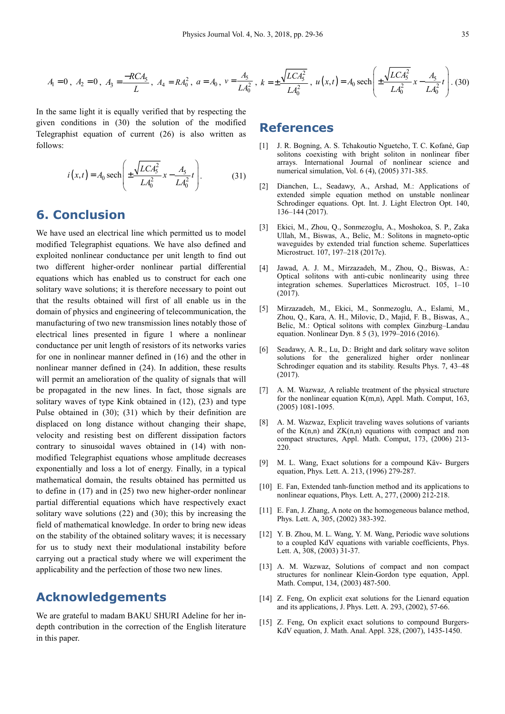$$
A_1 = 0 \, , \, A_2 = 0 \, , \, A_3 = \frac{-RCA_5}{L} \, , \, A_4 = RA_0^2 \, , \, a = A_0 \, , \, v = \frac{A_5}{LA_0^2} \, , \, k = \pm \frac{\sqrt{LCA_5^2}}{LA_0^2} \, , \, u(x, t) = A_0 \, \text{sech}\left(\pm \frac{\sqrt{LCA_5^2}}{LA_0^2}x - \frac{A_5}{LA_0^2}t\right). \tag{30}
$$

In the same light it is equally verified that by respecting the given conditions in (30) the solution of the modified Telegraphist equation of current (26) is also written as follows:

$$
i(x,t) = A_0 \operatorname{sech}\left(\pm \frac{\sqrt{LCA_5^2}}{LA_0^2} x - \frac{A_5}{LA_0^2} t\right).
$$
 (31)

#### **6. Conclusion**

We have used an electrical line which permitted us to model modified Telegraphist equations. We have also defined and exploited nonlinear conductance per unit length to find out two different higher-order nonlinear partial differential equations which has enabled us to construct for each one solitary wave solutions; it is therefore necessary to point out that the results obtained will first of all enable us in the domain of physics and engineering of telecommunication, the manufacturing of two new transmission lines notably those of electrical lines presented in figure 1 where a nonlinear conductance per unit length of resistors of its networks varies for one in nonlinear manner defined in (16) and the other in nonlinear manner defined in (24). In addition, these results will permit an amelioration of the quality of signals that will be propagated in the new lines. In fact, those signals are solitary waves of type Kink obtained in (12), (23) and type Pulse obtained in (30); (31) which by their definition are displaced on long distance without changing their shape, velocity and resisting best on different dissipation factors contrary to sinusoidal waves obtained in (14) with nonmodified Telegraphist equations whose amplitude decreases exponentially and loss a lot of energy. Finally, in a typical mathematical domain, the results obtained has permitted us to define in (17) and in (25) two new higher-order nonlinear partial differential equations which have respectively exact solitary wave solutions (22) and (30); this by increasing the field of mathematical knowledge. In order to bring new ideas on the stability of the obtained solitary waves; it is necessary for us to study next their modulational instability before carrying out a practical study where we will experiment the applicability and the perfection of those two new lines.

#### **Acknowledgements**

We are grateful to madam BAKU SHURI Adeline for her indepth contribution in the correction of the English literature in this paper.

#### **References**

- [1] J. R. Bogning, A. S. Tchakoutio Nguetcho, T. C. Kofané, Gap solitons coexisting with bright soliton in nonlinear fiber arrays. International Journal of nonlinear science and numerical simulation, Vol. 6 (4), (2005) 371-385.
- [2] Dianchen, L., Seadawy, A., Arshad, M.: Applications of extended simple equation method on unstable nonlinear Schrodinger equations. Opt. Int. J. Light Electron Opt. 140, 136–144 (2017).
- [3] Ekici, M., Zhou, Q., Sonmezoglu, A., Moshokoa, S. P., Zaka Ullah, M., Biswas, A., Belic, M.: Solitons in magneto-optic waveguides by extended trial function scheme. Superlattices Microstruct. 107, 197–218 (2017c).
- [4] Jawad, A. J. M., Mirzazadeh, M., Zhou, Q., Biswas, A.: Optical solitons with anti-cubic nonlinearity using three integration schemes. Superlattices Microstruct. 105, 1–10 (2017).
- [5] Mirzazadeh, M., Ekici, M., Sonmezoglu, A., Eslami, M., Zhou, Q., Kara, A. H., Milovic, D., Majid, F. B., Biswas, A., Belic, M.: Optical solitons with complex Ginzburg–Landau equation. Nonlinear Dyn. 8 5 (3), 1979–2016 (2016).
- [6] Seadawy, A. R., Lu, D.: Bright and dark solitary wave soliton solutions for the generalized higher order nonlinear Schrodinger equation and its stability. Results Phys. 7, 43–48 (2017).
- [7] A. M. Wazwaz, A reliable treatment of the physical structure for the nonlinear equation K(m,n), Appl. Math. Comput, 163, (2005) 1081-1095.
- [8] A. M. Wazwaz, Explicit traveling waves solutions of variants of the  $K(n,n)$  and  $ZK(n,n)$  equations with compact and non compact structures, Appl. Math. Comput, 173, (2006) 213- 220.
- [9] M. L. Wang, Exact solutions for a compound Käv- Burgers equation, Phys. Lett. A. 213, (1996) 279-287.
- [10] E. Fan, Extended tanh-function method and its applications to nonlinear equations, Phys. Lett. A, 277, (2000) 212-218.
- [11] E. Fan, J. Zhang, A note on the homogeneous balance method, Phys. Lett. A, 305, (2002) 383-392.
- [12] Y. B. Zhou, M. L. Wang, Y. M. Wang, Periodic wave solutions to a coupled KdV equations with variable coefficients, Phys. Lett. A, 308, (2003) 31-37.
- [13] A. M. Wazwaz, Solutions of compact and non compact structures for nonlinear Klein-Gordon type equation, Appl. Math. Comput, 134, (2003) 487-500.
- [14] Z. Feng, On explicit exat solutions for the Lienard equation and its applications, J. Phys. Lett. A. 293, (2002), 57-66.
- [15] Z. Feng, On explicit exact solutions to compound Burgers-KdV equation, J. Math. Anal. Appl. 328, (2007), 1435-1450.